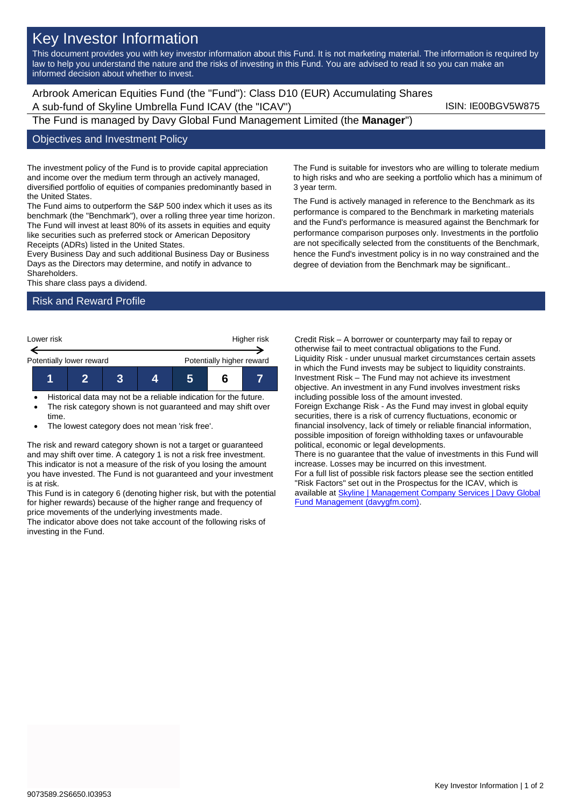## Key Investor Information

This document provides you with key investor information about this Fund. It is not marketing material. The information is required by law to help you understand the nature and the risks of investing in this Fund. You are advised to read it so you can make an informed decision about whether to invest.

Arbrook American Equities Fund (the "Fund"): Class D10 (EUR) Accumulating Shares A sub-fund of Skyline Umbrella Fund ICAV (the "ICAV") ISIN: IE00BGV5W875 The Fund is managed by Davy Global Fund Management Limited (the **Manager**")

## Objectives and Investment Policy

The investment policy of the Fund is to provide capital appreciation and income over the medium term through an actively managed, diversified portfolio of equities of companies predominantly based in the United States.

The Fund aims to outperform the S&P 500 index which it uses as its benchmark (the "Benchmark"), over a rolling three year time horizon. The Fund will invest at least 80% of its assets in equities and equity like securities such as preferred stock or American Depository Receipts (ADRs) listed in the United States.

Every Business Day and such additional Business Day or Business Days as the Directors may determine, and notify in advance to Shareholders.

This share class pays a dividend.

## Risk and Reward Profile



- Historical data may not be a reliable indication for the future.
- The risk category shown is not guaranteed and may shift over time.
- The lowest category does not mean 'risk free'.

The risk and reward category shown is not a target or guaranteed and may shift over time. A category 1 is not a risk free investment. This indicator is not a measure of the risk of you losing the amount you have invested. The Fund is not guaranteed and your investment is at risk.

This Fund is in category 6 (denoting higher risk, but with the potential for higher rewards) because of the higher range and frequency of price movements of the underlying investments made.

The indicator above does not take account of the following risks of investing in the Fund.

The Fund is suitable for investors who are willing to tolerate medium to high risks and who are seeking a portfolio which has a minimum of 3 year term.

The Fund is actively managed in reference to the Benchmark as its performance is compared to the Benchmark in marketing materials and the Fund's performance is measured against the Benchmark for performance comparison purposes only. Investments in the portfolio are not specifically selected from the constituents of the Benchmark, hence the Fund's investment policy is in no way constrained and the degree of deviation from the Benchmark may be significant..

Credit Risk – A borrower or counterparty may fail to repay or otherwise fail to meet contractual obligations to the Fund. Liquidity Risk - under unusual market circumstances certain assets in which the Fund invests may be subject to liquidity constraints. Investment Risk – The Fund may not achieve its investment objective. An investment in any Fund involves investment risks including possible loss of the amount invested.

Foreign Exchange Risk - As the Fund may invest in global equity securities, there is a risk of currency fluctuations, economic or financial insolvency, lack of timely or reliable financial information, possible imposition of foreign withholding taxes or unfavourable political, economic or legal developments.

There is no guarantee that the value of investments in this Fund will increase. Losses may be incurred on this investment.

For a full list of possible risk factors please see the section entitled "Risk Factors" set out in the Prospectus for the ICAV, which is available a[t Skyline | Management Company Services | Davy Global](https://www.davygfm.com/funds-factsheets/management-company-services/ireland/skyline.html)  [Fund Management \(davygfm.com\).](https://www.davygfm.com/funds-factsheets/management-company-services/ireland/skyline.html)